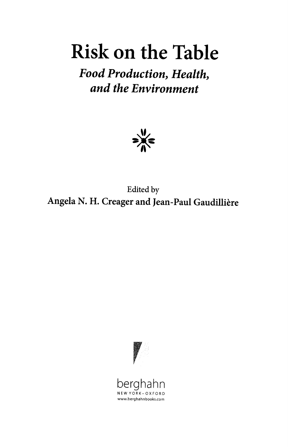## Risk on the Table

Food Production, Health, and the Environment



Edited by Angela N. H. Creager and Jean-Paul Gaudillière

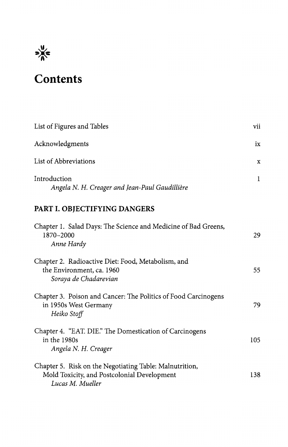

## $\frac{d}{dx}$ <br>Contents

| List of Figures and Tables                                     | vii |
|----------------------------------------------------------------|-----|
| Acknowledgments                                                | ix  |
| List of Abbreviations                                          | X   |
| Introduction<br>Angela N. H. Creager and Jean-Paul Gaudillière |     |

## PART I. OBJECTIFYING DANGERS

| Chapter 1. Salad Days: The Science and Medicine of Bad Greens,<br>1870-2000<br>Anne Hardy                                  | 29  |
|----------------------------------------------------------------------------------------------------------------------------|-----|
| Chapter 2. Radioactive Diet: Food, Metabolism, and<br>the Environment, ca. 1960<br>Soraya de Chadarevian                   | 55  |
| Chapter 3. Poison and Cancer: The Politics of Food Carcinogens<br>in 1950s West Germany<br>Heiko Stoff                     | 79  |
| Chapter 4. "EAT. DIE." The Domestication of Carcinogens<br>in the 1980s<br>Angela N. H. Creager                            | 105 |
| Chapter 5. Risk on the Negotiating Table: Malnutrition,<br>Mold Toxicity, and Postcolonial Development<br>Lucas M. Mueller | 138 |